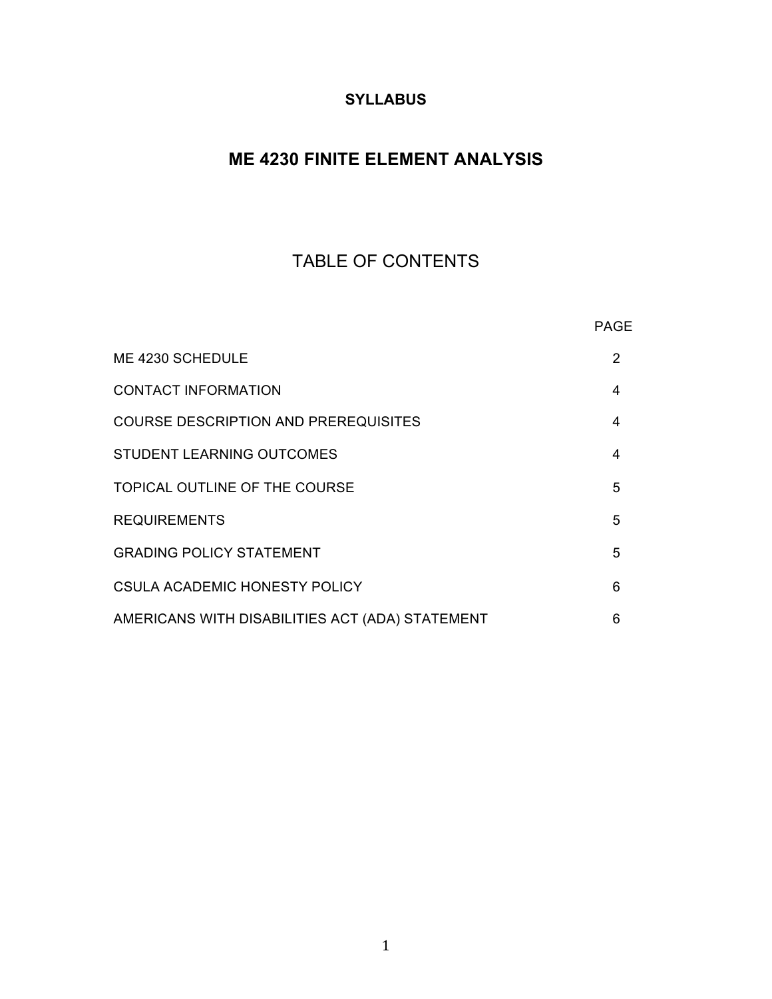## **SYLLABUS**

# **ME 4230 FINITE ELEMENT ANALYSIS**

# TABLE OF CONTENTS

|                                                 | <b>PAGE</b>   |
|-------------------------------------------------|---------------|
| ME 4230 SCHEDULE                                | $\mathcal{P}$ |
| <b>CONTACT INFORMATION</b>                      | 4             |
| <b>COURSE DESCRIPTION AND PREREQUISITES</b>     | 4             |
| STUDENT LEARNING OUTCOMES                       | 4             |
| TOPICAL OUTLINE OF THE COURSE                   | 5             |
| <b>REQUIREMENTS</b>                             | 5             |
| <b>GRADING POLICY STATEMENT</b>                 | 5             |
| CSULA ACADEMIC HONESTY POLICY                   | 6             |
| AMERICANS WITH DISABILITIES ACT (ADA) STATEMENT | 6             |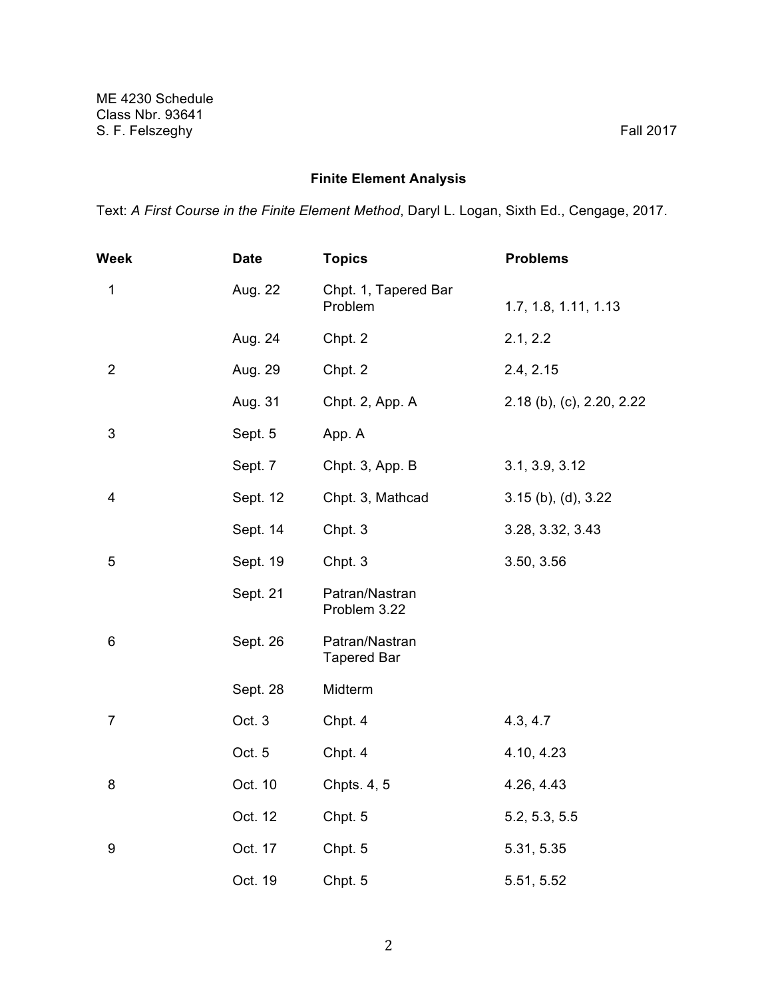## **Finite Element Analysis**

Text: *A First Course in the Finite Element Method*, Daryl L. Logan, Sixth Ed., Cengage, 2017.

| Week           | <b>Date</b> | <b>Topics</b>                        | <b>Problems</b>           |
|----------------|-------------|--------------------------------------|---------------------------|
| $\mathbf 1$    | Aug. 22     | Chpt. 1, Tapered Bar<br>Problem      | 1.7, 1.8, 1.11, 1.13      |
|                | Aug. 24     | Chpt. 2                              | 2.1, 2.2                  |
| $\overline{2}$ | Aug. 29     | Chpt. 2                              | 2.4, 2.15                 |
|                | Aug. 31     | Chpt. 2, App. A                      | 2.18 (b), (c), 2.20, 2.22 |
| 3              | Sept. 5     | App. A                               |                           |
|                | Sept. 7     | Chpt. 3, App. B                      | 3.1, 3.9, 3.12            |
| 4              | Sept. 12    | Chpt. 3, Mathcad                     | $3.15$ (b), (d), $3.22$   |
|                | Sept. 14    | Chpt. 3                              | 3.28, 3.32, 3.43          |
| 5              | Sept. 19    | Chpt. 3                              | 3.50, 3.56                |
|                | Sept. 21    | Patran/Nastran<br>Problem 3.22       |                           |
| 6              | Sept. 26    | Patran/Nastran<br><b>Tapered Bar</b> |                           |
|                | Sept. 28    | Midterm                              |                           |
| $\overline{7}$ | Oct. 3      | Chpt. 4                              | 4.3, 4.7                  |
|                | Oct. 5      | Chpt. 4                              | 4.10, 4.23                |
| 8              | Oct. 10     | Chpts. 4, 5                          | 4.26, 4.43                |
|                | Oct. 12     | Chpt. 5                              | 5.2, 5.3, 5.5             |
| 9              | Oct. 17     | Chpt. 5                              | 5.31, 5.35                |
|                | Oct. 19     | Chpt. 5                              | 5.51, 5.52                |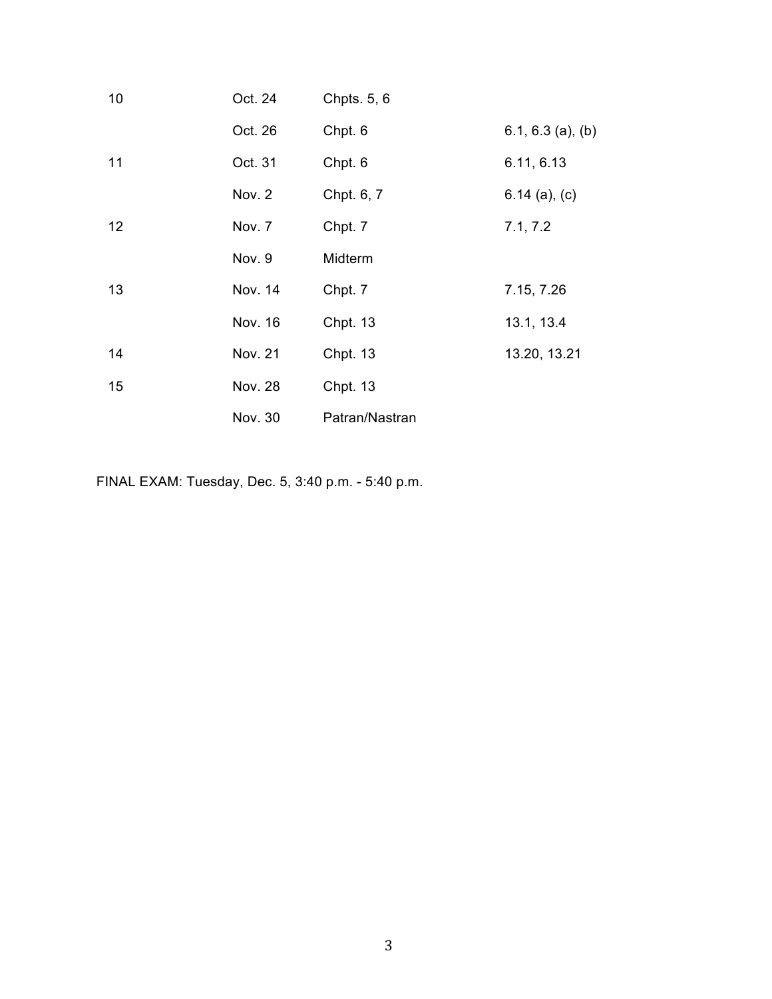| 10 | Oct. 24        | Chpts. 5, 6     |                     |
|----|----------------|-----------------|---------------------|
|    | Oct. 26        | Chpt. 6         | $6.1, 6.3$ (a), (b) |
| 11 | Oct. 31        | Chpt. 6         | 6.11, 6.13          |
|    | Nov. 2         | Chpt. 6, 7      | $6.14$ (a), (c)     |
| 12 | Nov. 7         | Chpt. 7         | 7.1, 7.2            |
|    | Nov. 9         | Midterm         |                     |
| 13 | Nov. 14        | Chpt. 7         | 7.15, 7.26          |
|    | Nov. 16        | <b>Chpt. 13</b> | 13.1, 13.4          |
| 14 | Nov. 21        | <b>Chpt. 13</b> | 13.20, 13.21        |
| 15 | <b>Nov. 28</b> | <b>Chpt. 13</b> |                     |
|    | Nov. 30        | Patran/Nastran  |                     |

FINAL EXAM: Tuesday, Dec. 5, 3:40 p.m. - 5:40 p.m.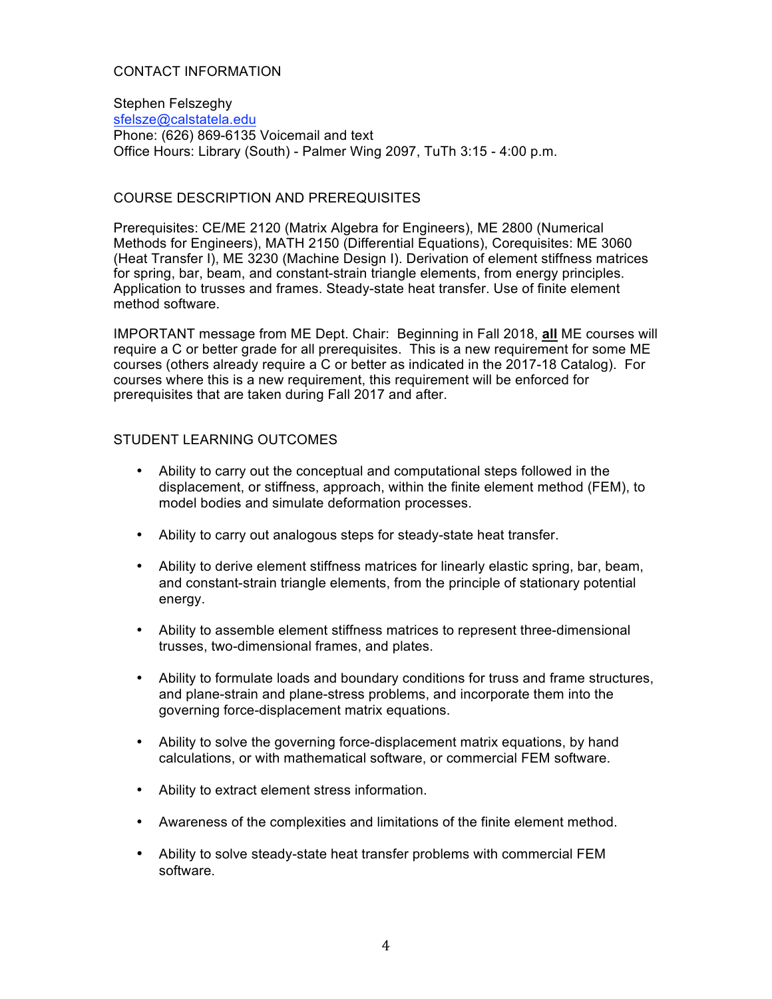#### CONTACT INFORMATION

Stephen Felszeghy sfelsze@calstatela.edu Phone: (626) 869-6135 Voicemail and text Office Hours: Library (South) - Palmer Wing 2097, TuTh 3:15 - 4:00 p.m.

#### COURSE DESCRIPTION AND PREREQUISITES

Prerequisites: CE/ME 2120 (Matrix Algebra for Engineers), ME 2800 (Numerical Methods for Engineers), MATH 2150 (Differential Equations), Corequisites: ME 3060 (Heat Transfer I), ME 3230 (Machine Design I). Derivation of element stiffness matrices for spring, bar, beam, and constant-strain triangle elements, from energy principles. Application to trusses and frames. Steady-state heat transfer. Use of finite element method software.

IMPORTANT message from ME Dept. Chair: Beginning in Fall 2018, **all** ME courses will require a C or better grade for all prerequisites. This is a new requirement for some ME courses (others already require a C or better as indicated in the 2017-18 Catalog). For courses where this is a new requirement, this requirement will be enforced for prerequisites that are taken during Fall 2017 and after.

#### STUDENT LEARNING OUTCOMES

- Ability to carry out the conceptual and computational steps followed in the displacement, or stiffness, approach, within the finite element method (FEM), to model bodies and simulate deformation processes.
- Ability to carry out analogous steps for steady-state heat transfer.
- Ability to derive element stiffness matrices for linearly elastic spring, bar, beam, and constant-strain triangle elements, from the principle of stationary potential energy.
- Ability to assemble element stiffness matrices to represent three-dimensional trusses, two-dimensional frames, and plates.
- Ability to formulate loads and boundary conditions for truss and frame structures, and plane-strain and plane-stress problems, and incorporate them into the governing force-displacement matrix equations.
- Ability to solve the governing force-displacement matrix equations, by hand calculations, or with mathematical software, or commercial FEM software.
- Ability to extract element stress information.
- Awareness of the complexities and limitations of the finite element method.
- Ability to solve steady-state heat transfer problems with commercial FEM software.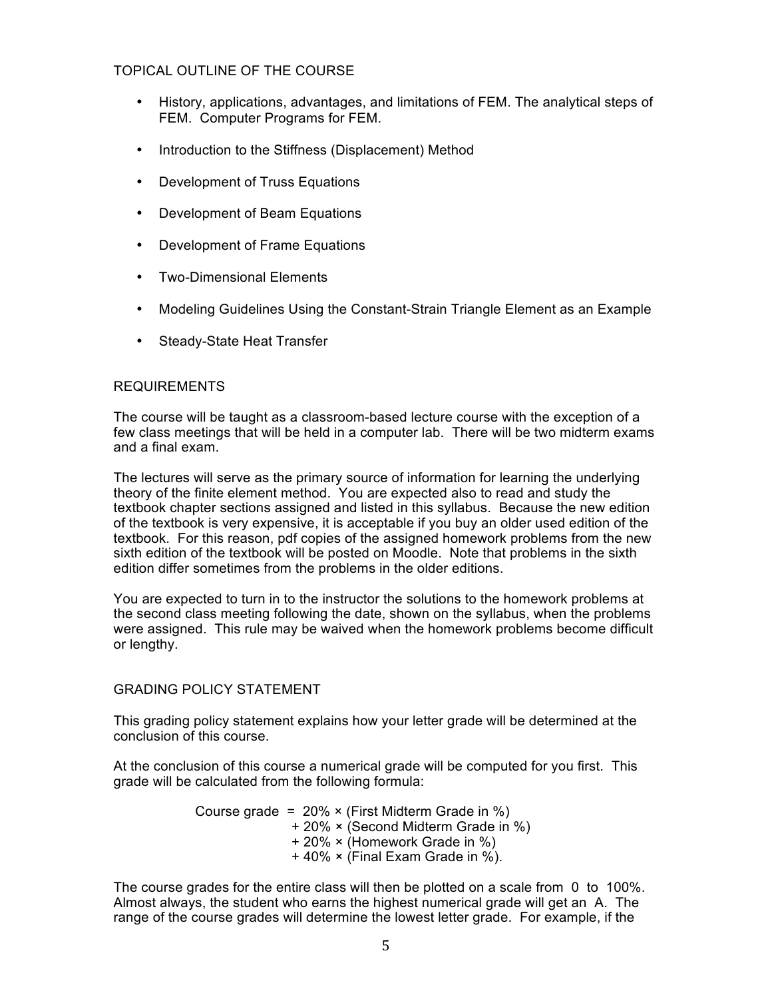#### TOPICAL OUTLINE OF THE COURSE

- History, applications, advantages, and limitations of FEM. The analytical steps of FEM. Computer Programs for FEM.
- Introduction to the Stiffness (Displacement) Method
- Development of Truss Equations
- Development of Beam Equations
- Development of Frame Equations
- Two-Dimensional Elements
- Modeling Guidelines Using the Constant-Strain Triangle Element as an Example
- Steady-State Heat Transfer

#### REQUIREMENTS

The course will be taught as a classroom-based lecture course with the exception of a few class meetings that will be held in a computer lab. There will be two midterm exams and a final exam.

The lectures will serve as the primary source of information for learning the underlying theory of the finite element method. You are expected also to read and study the textbook chapter sections assigned and listed in this syllabus. Because the new edition of the textbook is very expensive, it is acceptable if you buy an older used edition of the textbook. For this reason, pdf copies of the assigned homework problems from the new sixth edition of the textbook will be posted on Moodle. Note that problems in the sixth edition differ sometimes from the problems in the older editions.

You are expected to turn in to the instructor the solutions to the homework problems at the second class meeting following the date, shown on the syllabus, when the problems were assigned. This rule may be waived when the homework problems become difficult or lengthy.

#### GRADING POLICY STATEMENT

This grading policy statement explains how your letter grade will be determined at the conclusion of this course.

At the conclusion of this course a numerical grade will be computed for you first. This grade will be calculated from the following formula:

> Course grade =  $20\% \times$  (First Midterm Grade in %) + 20% × (Second Midterm Grade in %) + 20% × (Homework Grade in %) + 40% × (Final Exam Grade in %).

The course grades for the entire class will then be plotted on a scale from 0 to 100%. Almost always, the student who earns the highest numerical grade will get an A. The range of the course grades will determine the lowest letter grade. For example, if the